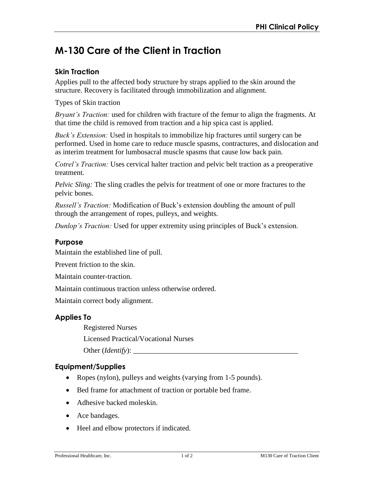# **M-130 Care of the Client in Traction**

## **Skin Traction**

Applies pull to the affected body structure by straps applied to the skin around the structure. Recovery is facilitated through immobilization and alignment.

Types of Skin traction

*Bryant's Traction:* used for children with fracture of the femur to align the fragments. At that time the child is removed from traction and a hip spica cast is applied.

*Buck's Extension:* Used in hospitals to immobilize hip fractures until surgery can be performed. Used in home care to reduce muscle spasms, contractures, and dislocation and as interim treatment for lumbosacral muscle spasms that cause low back pain.

*Cotrel's Traction:* Uses cervical halter traction and pelvic belt traction as a preoperative treatment.

*Pelvic Sling:* The sling cradles the pelvis for treatment of one or more fractures to the pelvic bones.

*Russell's Traction:* Modification of Buck's extension doubling the amount of pull through the arrangement of ropes, pulleys, and weights.

*Dunlop's Traction:* Used for upper extremity using principles of Buck's extension.

#### **Purpose**

Maintain the established line of pull.

Prevent friction to the skin.

Maintain counter-traction.

Maintain continuous traction unless otherwise ordered.

Maintain correct body alignment.

# **Applies To**

Registered Nurses

Licensed Practical/Vocational Nurses

Other (*Identify*):

# **Equipment/Supplies**

- Ropes (nylon), pulleys and weights (varying from 1-5 pounds).
- Bed frame for attachment of traction or portable bed frame.
- Adhesive backed moleskin.
- Ace bandages.
- Heel and elbow protectors if indicated.